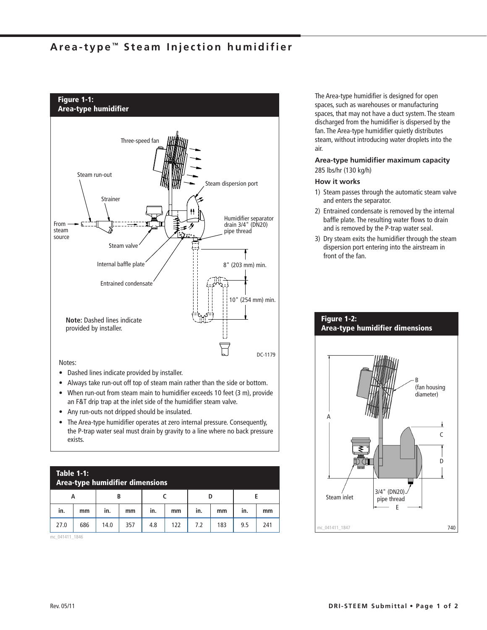# **Area-type ™ Steam Injection humidifier**



- Dashed lines indicate provided by installer.
- Always take run-out off top of steam main rather than the side or bottom.
- When run-out from steam main to humidifier exceeds 10 feet (3 m), provide an F&T drip trap at the inlet side of the humidifier steam valve.
- Any run-outs not dripped should be insulated.
- The Area-type humidifier operates at zero internal pressure. Consequently, the P-trap water seal must drain by gravity to a line where no back pressure exists.

|      | Table 1-1:<br>Area-type humidifier dimensions |      |     |     |     |     |     |     |     |  |  |  |  |  |
|------|-----------------------------------------------|------|-----|-----|-----|-----|-----|-----|-----|--|--|--|--|--|
| А    |                                               | В    |     |     |     | D   |     |     |     |  |  |  |  |  |
| in.  | mm                                            | in.  | mm  | in. | mm  | in. | mm  | in. | mm  |  |  |  |  |  |
| 27.0 | 686                                           | 14.0 | 357 | 4.8 | 122 | 7.2 | 183 | 9.5 | 241 |  |  |  |  |  |

mc\_041411\_1846

The Area-type humidifier is designed for open spaces, such as warehouses or manufacturing spaces, that may not have a duct system. The steam discharged from the humidifier is dispersed by the fan. The Area-type humidifier quietly distributes steam, without introducing water droplets into the air.

**Area-type humidifier maximum capacity** 285 lbs/hr (130 kg/h)

#### **How it works**

- 1) Steam passes through the automatic steam valve and enters the separator.
- 2) Entrained condensate is removed by the internal baffle plate. The resulting water flows to drain and is removed by the P-trap water seal.
- 3) Dry steam exits the humidifier through the steam dispersion port entering into the airstream in front of the fan.